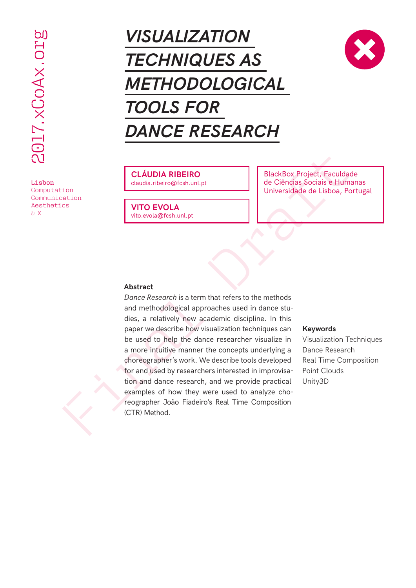Lisbon Computation Communication Aesthetics & X

# *VISUALIZATION TECHNIQUES AS METHODOLOGICAL TOOLS FOR DANCE RESEARCH*



### **CLÁUDIA RIBEIRO**

claudia.ribeiro@fcsh.unl.pt

**VITO EVOLA** vito.evola@fcsh.unl.pt

BlackBox Project, Faculdade de Ciências Sociais e Humanas Universidade de Lisboa, Portugal

### **Abstract**

FIGUALIZATION<br>
TECHNIQUES AS<br>
METHODOLOGICAL<br>
MOLS FOR<br>
DANCE RESEARCH<br>
COLS FOR<br>
DANCE RESEARCH<br>
COLS FOR<br>
DANCE RESEARCH<br>
COLS FOR<br>
CALIDDA RIBENO<br>
COLS FOR<br>
CALIDDA RIBENO<br>
COLS TOR<br>
COLS TOR<br>
COLS TOR<br>
COLS TOR<br>
COLS *Dance Research* is a term that refers to the methods and methodological approaches used in dance studies, a relatively new academic discipline. In this paper we describe how visualization techniques can be used to help the dance researcher visualize in a more intuitive manner the concepts underlying a choreographer's work. We describe tools developed for and used by researchers interested in improvisation and dance research, and we provide practical examples of how they were used to analyze choreographer João Fiadeiro's Real Time Composition (CTR) Method.

### **Keywords**

Visualization Techniques Dance Research Real Time Composition Point Clouds Unity3D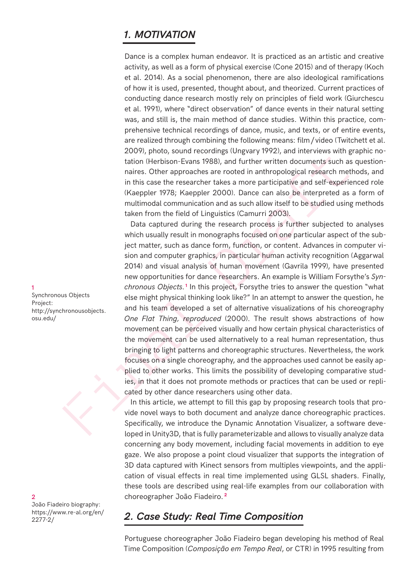### *1. MOTIVATION*

Dance is a complex human endeavor. It is practiced as an artistic and creative activity, as well as a form of physical exercise (Cone 2015) and of therapy (Koch et al. 2014). As a social phenomenon, there are also ideological ramifications of how it is used, presented, thought about, and theorized. Current practices of conducting dance research mostly rely on principles of field work (Giurchescu et al. 1991), where "direct observation" of dance events in their natural setting was, and still is, the main method of dance studies. Within this practice, comprehensive technical recordings of dance, music, and texts, or of entire events, are realized through combining the following means: film/ video (Twitchett et al. 2009), photo, sound recordings (Ungvary 1992), and interviews with graphic notation (Herbison-Evans 1988), and further written documents such as questionnaires. Other approaches are rooted in anthropological research methods, and in this case the researcher takes a more participative and self-experienced role (Kaeppler 1978; Kaeppler 2000). Dance can also be interpreted as a form of multimodal communication and as such allow itself to be studied using methods taken from the field of Linguistics (Camurri 2003).

2007, photo, sual externas with the season and external tractives with the season of the season and the season and the season and the season and the season and the season and the season and the season and the season and th Data captured during the research process is further subjected to analyses which usually result in monographs focused on one particular aspect of the subject matter, such as dance form, function, or content. Advances in computer vision and computer graphics, in particular human activity recognition (Aggarwal 2014) and visual analysis of human movement (Gavrila 1999), have presented new opportunities for dance researchers. An example is William Forsythe's *Syn*chronous Objects.<sup>1</sup> In this project, Forsythe tries to answer the question "what else might physical thinking look like?" In an attempt to answer the question, he and his team developed a set of alternative visualizations of his choreography *One Flat Thing, reproduced* (2000). The result shows abstractions of how movement can be perceived visually and how certain physical characteristics of the movement can be used alternatively to a real human representation, thus bringing to light patterns and choreographic structures. Nevertheless, the work focuses on a single choreography, and the approaches used cannot be easily applied to other works. This limits the possibility of developing comparative studies, in that it does not promote methods or practices that can be used or replicated by other dance researchers using other data.

In this article, we attempt to fill this gap by proposing research tools that provide novel ways to both document and analyze dance choreographic practices. Specifically, we introduce the Dynamic Annotation Visualizer, a software developed in Unity3D, that is fully parameterizable and allows to visually analyze data concerning any body movement, including facial movements in addition to eye gaze. We also propose a point cloud visualizer that supports the integration of 3D data captured with Kinect sensors from multiples viewpoints, and the application of visual effects in real time implemented using GLSL shaders. Finally, these tools are described using real-life examples from our collaboration with choreographer João Fiadeiro. **<sup>2</sup>**

### *2. Case Study: Real Time Composition*

Portuguese choreographer João Fiadeiro began developing his method of Real Time Composition (*Composição em Tempo Real*, or CTR) in 1995 resulting from

1 Synchronous Objects Project: http://synchronousobjects. osu.edu/

#### $\mathcal{D}$

João Fiadeiro biography: https://www.re-al.org/en/ 2277-2/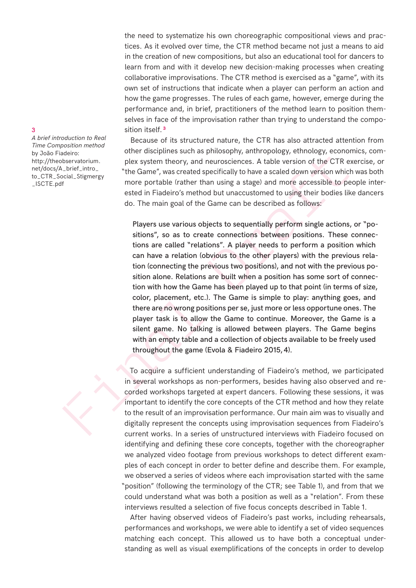the need to systematize his own choreographic compositional views and practices. As it evolved over time, the CTR method became not just a means to aid in the creation of new compositions, but also an educational tool for dancers to learn from and with it develop new decision-making processes when creating collaborative improvisations. The CTR method is exercised as a "game", with its own set of instructions that indicate when a player can perform an action and how the game progresses. The rules of each game, however, emerge during the performance and, in brief, practitioners of the method learn to position themselves in face of the improvisation rather than trying to understand the composition itself. **<sup>3</sup>**

Because of its structured nature, the CTR has also attracted attention from other disciplines such as philosophy, anthropology, ethnology, economics, complex system theory, and neurosciences. A table version of the CTR exercise, or "the Game", was created specifically to have a scaled down version which was both more portable (rather than using a stage) and more accessible to people interested in Fiadeiro's method but unaccustomed to using their bodies like dancers do. The main goal of the Game can be described as follows:

derication<br>
shows the maximum state as intervolvient, and policy entimation<br>
betwate the came", was created specifically to have a scaled down version whice<br>
the Game", was created specifically to have a scaled down versio Players use various objects to sequentially perform single actions, or "positions", so as to create connections between positions. These connections are called "relations". A player needs to perform a position which can have a relation (obvious to the other players) with the previous relation (connecting the previous two positions), and not with the previous position alone. Relations are built when a position has some sort of connection with how the Game has been played up to that point (in terms of size, color, placement, etc.). The Game is simple to play: anything goes, and there are no wrong positions per se, just more or less opportune ones. The player task is to allow the Game to continue. Moreover, the Game is a silent game. No talking is allowed between players. The Game begins with an empty table and a collection of objects available to be freely used throughout the game (Evola & Fiadeiro 2015,4).

To acquire a sufficient understanding of Fiadeiro's method, we participated in several workshops as non-performers, besides having also observed and recorded workshops targeted at expert dancers. Following these sessions, it was important to identify the core concepts of the CTR method and how they relate to the result of an improvisation performance. Our main aim was to visually and digitally represent the concepts using improvisation sequences from Fiadeiro's current works. In a series of unstructured interviews with Fiadeiro focused on identifying and defining these core concepts, together with the choreographer we analyzed video footage from previous workshops to detect different examples of each concept in order to better define and describe them. For example, we observed a series of videos where each improvisation started with the same "position" (following the terminology of the CTR; see Table 1), and from that we could understand what was both a position as well as a "relation". From these interviews resulted a selection of five focus concepts described in Table 1.

After having observed videos of Fiadeiro's past works, including rehearsals, performances and workshops, we were able to identify a set of video sequences matching each concept. This allowed us to have both a conceptual understanding as well as visual exemplifications of the concepts in order to develop

*A brief introduction to Real Time Composition method*  by João Fiadeiro: http://theobservatorium. net/docs/A\_brief\_intro\_ to\_CTR\_Social\_Stigmergy \_ISCTE.pdf

### 3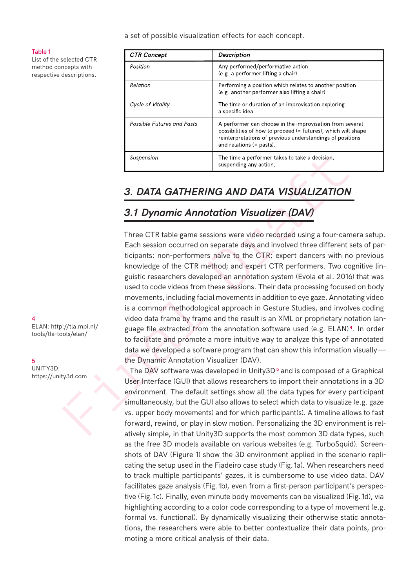a set of possible visualization effects for each concept.

#### Table 1

List of the selected CTR method concepts with respective descriptions.

| <b>CTR Concept</b>                | <b>Description</b>                                                                                                                                                                                                 |
|-----------------------------------|--------------------------------------------------------------------------------------------------------------------------------------------------------------------------------------------------------------------|
| Position                          | Any performed/performative action<br>(e.g. a performer lifting a chair).                                                                                                                                           |
| Relation                          | Performing a position which relates to another position<br>(e.g. another performer also lifting a chair).                                                                                                          |
| Cycle of Vitality                 | The time or duration of an improvisation exploring<br>a specific idea.                                                                                                                                             |
| <b>Possible Futures and Pasts</b> | A performer can choose in the improvisation from several<br>possibilities of how to proceed (= futures), which will shape<br>reinterpretations of previous understandings of positions<br>and relations (= pasts). |
| Suspension                        | The time a performer takes to take a decision,<br>suspending any action.                                                                                                                                           |

### *3. DATA GATHERING AND DATA VISUALIZATION*

## *3.1 Dynamic Annotation Visualizer (DAV)*

Suspension<br>
The time a performer takes to take a decision,<br> **3. DATA GATHERING AND DATA VISUALIZATION**<br> **3.1 Dynamic Annotation Visualizer (DAV)**<br>
Three CTR table game sessions were video recorded using a four-can<br>
Each s Three CTR table game sessions were video recorded using a four-camera setup. Each session occurred on separate days and involved three different sets of participants: non-performers naïve to the CTR; expert dancers with no previous knowledge of the CTR method; and expert CTR performers. Two cognitive linguistic researchers developed an annotation system (Evola et al. 2016) that was used to code videos from these sessions. Their data processing focused on body movements, including facial movements in addition to eye gaze. Annotating video is a common methodological approach in Gesture Studies, and involves coding video data frame by frame and the result is an XML or proprietary notation language file extracted from the annotation software used (e.g. ELAN) **<sup>4</sup>**. In order to facilitate and promote a more intuitive way to analyze this type of annotated data we developed a software program that can show this information visually the Dynamic Annotation Visualizer (DAV).

The DAV software was developed in Unity3D**5** and is composed of a Graphical User Interface (GUI) that allows researchers to import their annotations in a 3D environment. The default settings show all the data types for every participant simultaneously, but the GUI also allows to select which data to visualize (e.g. gaze vs. upper body movements) and for which participant(s). A timeline allows to fast forward, rewind, or play in slow motion. Personalizing the 3D environment is relatively simple, in that Unity3D supports the most common 3D data types, such as the free 3D models available on various websites (e.g. TurboSquid). Screenshots of DAV (Figure 1) show the 3D environment applied in the scenario replicating the setup used in the Fiadeiro case study (Fig.1a). When researchers need to track multiple participants' gazes, it is cumbersome to use video data. DAV facilitates gaze analysis (Fig.1b), even from a first-person participant's perspective (Fig.1c). Finally, even minute body movements can be visualized (Fig.1d), via highlighting according to a color code corresponding to a type of movement (e.g. formal vs. functional). By dynamically visualizing their otherwise static annotations, the researchers were able to better contextualize their data points, promoting a more critical analysis of their data.

4

ELAN: http://tla.mpi.nl/ tools/tla-tools/elan/

5 UNITY3D: https://unity3d.com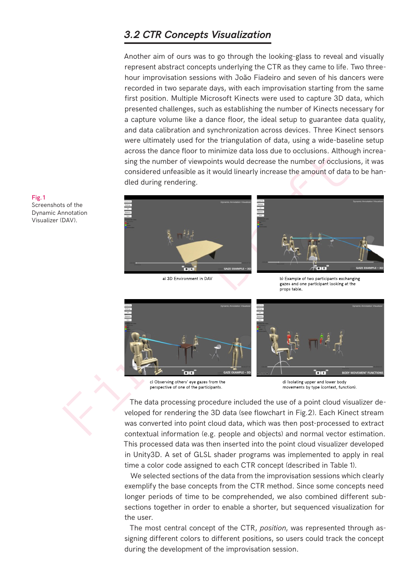### *3.2 CTR Concepts Visualization*

Another aim of ours was to go through the looking-glass to reveal and visually represent abstract concepts underlying the CTR as they came to life. Two threehour improvisation sessions with João Fiadeiro and seven of his dancers were recorded in two separate days, with each improvisation starting from the same first position. Multiple Microsoft Kinects were used to capture 3D data, which presented challenges, such as establishing the number of Kinects necessary for a capture volume like a dance floor, the ideal setup to guarantee data quality, and data calibration and synchronization across devices. Three Kinect sensors were ultimately used for the triangulation of data, using a wide-baseline setup across the dance floor to minimize data loss due to occlusions. Although increasing the number of viewpoints would decrease the number of occlusions, it was considered unfeasible as it would linearly increase the amount of data to be handled during rendering.







The data processing procedure included the use of a point cloud visualizer developed for rendering the 3D data (see flowchart in Fig.2). Each Kinect stream was converted into point cloud data, which was then post-processed to extract contextual information (e.g. people and objects) and normal vector estimation. This processed data was then inserted into the point cloud visualizer developed in Unity3D. A set of GLSL shader programs was implemented to apply in real time a color code assigned to each CTR concept (described in Table 1).

We selected sections of the data from the improvisation sessions which clearly exemplify the base concepts from the CTR method. Since some concepts need longer periods of time to be comprehended, we also combined different subsections together in order to enable a shorter, but sequenced visualization for the user.

The most central concept of the CTR, *position*, was represented through assigning different colors to different positions, so users could track the concept during the development of the improvisation session.

Fig.1 Screenshots of the

Dynamic Annotation Visualizer (DAV).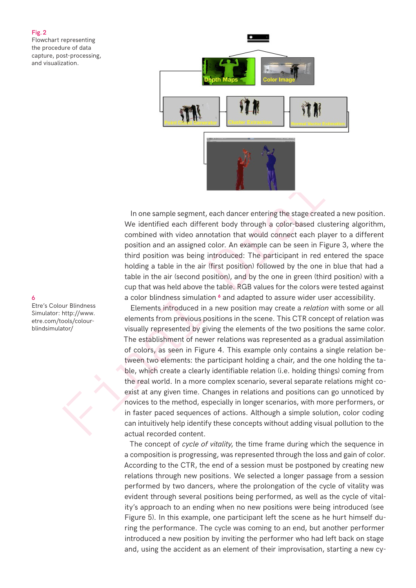### Fig.2 Flowchart representing the procedure of data capture, post-processing, and visualization.



In one sample segment, each dancer entering the stage created a new position. We identified each different body through a color-based clustering algorithm, combined with video annotation that would connect each player to a different position and an assigned color. An example can be seen in Figure 3, where the third position was being introduced: The participant in red entered the space holding a table in the air (first position) followed by the one in blue that had a table in the air (second position), and by the one in green (third position) with a cup that was held above the table. RGB values for the colors were tested against a color blindness simulation <sup>6</sup> and adapted to assure wider user accessibility.

In one sample segment, each diancer entering the stage created a new identified each different body through a color-based clustering<br>combined with video annotation that would connect each player to<br>position and an assigned Elements introduced in a new position may create a *relation* with some or all elements from previous positions in the scene. This CTR concept of relation was visually represented by giving the elements of the two positions the same color. The establishment of newer relations was represented as a gradual assimilation of colors, as seen in Figure 4. This example only contains a single relation between two elements: the participant holding a chair, and the one holding the table, which create a clearly identifiable relation (i.e. holding things) coming from the real world. In a more complex scenario, several separate relations might coexist at any given time. Changes in relations and positions can go unnoticed by novices to the method, especially in longer scenarios, with more performers, or in faster paced sequences of actions. Although a simple solution, color coding can intuitively help identify these concepts without adding visual pollution to the actual recorded content.

> The concept of *cycle of vitality*, the time frame during which the sequence in a composition is progressing, was represented through the loss and gain of color. According to the CTR, the end of a session must be postponed by creating new relations through new positions. We selected a longer passage from a session performed by two dancers, where the prolongation of the cycle of vitality was evident through several positions being performed, as well as the cycle of vitality's approach to an ending when no new positions were being introduced (see Figure 5). In this example, one participant left the scene as he hurt himself during the performance. The cycle was coming to an end, but another performer introduced a new position by inviting the performer who had left back on stage and, using the accident as an element of their improvisation, starting a new cy-

6

Etre's Colour Blindness Simulator: http://www. etre.com/tools/colourblindsimulator/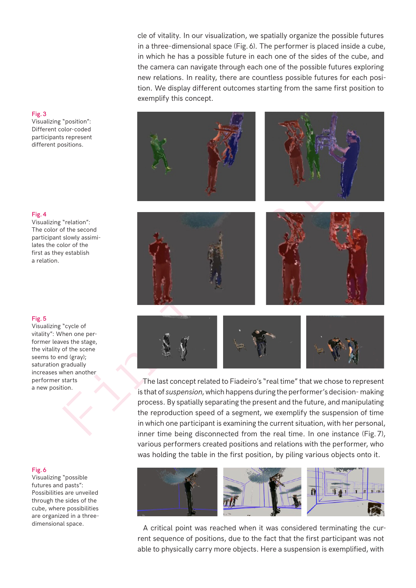cle of vitality. In our visualization, we spatially organize the possible futures in a three-dimensional space (Fig. 6). The performer is placed inside a cube, in which he has a possible future in each one of the sides of the cube, and the camera can navigate through each one of the possible futures exploring new relations. In reality, there are countless possible futures for each position. We display different outcomes starting from the same first position to exemplify this concept.











The last concept related to Fiadeiro's "real time" that we chose to represent is that of *suspension*, which happens during the performer's decision- making process. By spatially separating the present and the future, and manipulating the reproduction speed of a segment, we exemplify the suspension of time in which one participant is examining the current situation, with her personal, inner time being disconnected from the real time. In one instance (Fig.7), various performers created positions and relations with the performer, who was holding the table in the first position, by piling various objects onto it.



A critical point was reached when it was considered terminating the current sequence of positions, due to the fact that the first participant was not able to physically carry more objects. Here a suspension is exemplified, with

### Fig.3

Visualizing "position": Different color-coded participants represent different positions.

#### Fig.4

Visualizing "relation": The color of the second participant slowly assimilates the color of the first as they establish a relation.

### Fig.5

Visualizing "cycle of vitality": When one performer leaves the stage, the vitality of the scene seems to end (gray); saturation gradually increases when another performer starts a new position.

#### Fig.6

Visualizing "possible futures and pasts": Possibilities are unveiled through the sides of the cube, where possibilities are organized in a threedimensional space.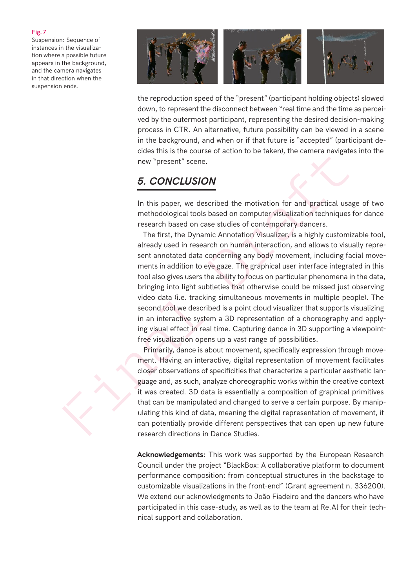### Fig.7

Suspension: Sequence of instances in the visualization where a possible future appears in the background, and the camera navigates in that direction when the suspension ends.



the reproduction speed of the "present" (participant holding objects) slowed down, to represent the disconnect between "real time and the time as perceived by the outermost participant, representing the desired decision-making process in CTR. An alternative, future possibility can be viewed in a scene in the background, and when or if that future is "accepted" (participant decides this is the course of action to be taken), the camera navigates into the new "present" scene.

### *5. CONCLUSION*

In this paper, we described the motivation for and practical usage of two methodological tools based on computer visualization techniques for dance research based on case studies of contemporary dancers.

The simulation of the main of the main of the distinct of the case and the main of the methodological tools based on computer visualization fechniques research based on case studies of contemporary dancers. The first, the The first, the Dynamic Annotation Visualizer, is a highly customizable tool, already used in research on human interaction, and allows to visually represent annotated data concerning any body movement, including facial movements in addition to eye gaze. The graphical user interface integrated in this tool also gives users the ability to focus on particular phenomena in the data, bringing into light subtleties that otherwise could be missed just observing video data (i.e. tracking simultaneous movements in multiple people). The second tool we described is a point cloud visualizer that supports visualizing in an interactive system a 3D representation of a choreography and applying visual effect in real time. Capturing dance in 3D supporting a viewpointfree visualization opens up a vast range of possibilities.

Primarily, dance is about movement, specifically expression through movement. Having an interactive, digital representation of movement facilitates closer observations of specificities that characterize a particular aesthetic language and, as such, analyze choreographic works within the creative context it was created. 3D data is essentially a composition of graphical primitives that can be manipulated and changed to serve a certain purpose. By manipulating this kind of data, meaning the digital representation of movement, it can potentially provide different perspectives that can open up new future research directions in Dance Studies.

**Acknowledgements:** This work was supported by the European Research Council under the project "BlackBox: A collaborative platform to document performance composition: from conceptual structures in the backstage to customizable visualizations in the front-end" (Grant agreement n. 336200). We extend our acknowledgments to João Fiadeiro and the dancers who have participated in this case-study, as well as to the team at Re.Al for their technical support and collaboration.